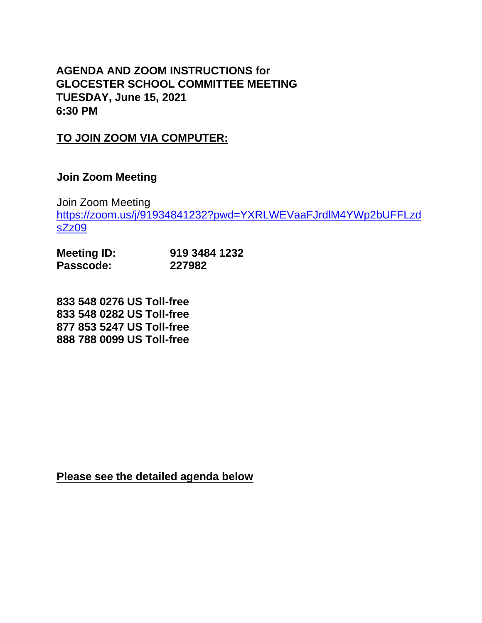## **AGENDA AND ZOOM INSTRUCTIONS for GLOCESTER SCHOOL COMMITTEE MEETING TUESDAY, June 15, 2021 6:30 PM**

## **TO JOIN ZOOM VIA COMPUTER:**

## **Join Zoom Meeting**

Join Zoom Meeting [https://zoom.us/j/91934841232?pwd=YXRLWEVaaFJrdlM4YWp2bUFFLzd](https://zoom.us/j/91934841232?pwd=YXRLWEVaaFJrdlM4YWp2bUFFLzdsZz09) [sZz09](https://zoom.us/j/91934841232?pwd=YXRLWEVaaFJrdlM4YWp2bUFFLzdsZz09)

| <b>Meeting ID:</b> | 919 3484 1232 |
|--------------------|---------------|
| Passcode:          | 227982        |

**833 548 0276 US Toll-free 833 548 0282 US Toll-free 877 853 5247 US Toll-free 888 788 0099 US Toll-free**

**Please see the detailed agenda below**